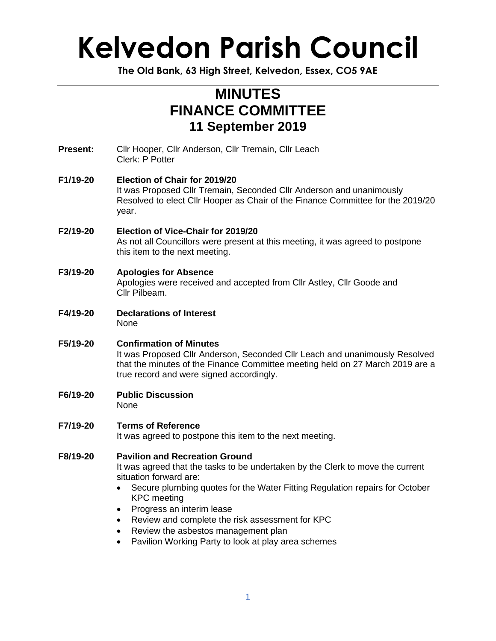## **Kelvedon Parish Council**

**The Old Bank, 63 High Street, Kelvedon, Essex, CO5 9AE**

### **MINUTES FINANCE COMMITTEE 11 September 2019**

**Present:** Cllr Hooper, Cllr Anderson, Cllr Tremain, Cllr Leach Clerk: P Potter

#### **F1/19-20 Election of Chair for 2019/20** It was Proposed Cllr Tremain, Seconded Cllr Anderson and unanimously Resolved to elect Cllr Hooper as Chair of the Finance Committee for the 2019/20 year.

- **F2/19-20 Election of Vice-Chair for 2019/20** As not all Councillors were present at this meeting, it was agreed to postpone this item to the next meeting.
- **F3/19-20 Apologies for Absence** Apologies were received and accepted from Cllr Astley, Cllr Goode and Cllr Pilbeam.
- **F4/19-20 Declarations of Interest** None
- **F5/19-20 Confirmation of Minutes** It was Proposed Cllr Anderson, Seconded Cllr Leach and unanimously Resolved that the minutes of the Finance Committee meeting held on 27 March 2019 are a true record and were signed accordingly.
- **F6/19-20 Public Discussion** None
- **F7/19-20 Terms of Reference** It was agreed to postpone this item to the next meeting.

**F8/19-20 Pavilion and Recreation Ground** It was agreed that the tasks to be undertaken by the Clerk to move the current situation forward are:

- Secure plumbing quotes for the Water Fitting Regulation repairs for October KPC meeting
- Progress an interim lease
- Review and complete the risk assessment for KPC
- Review the asbestos management plan
- Pavilion Working Party to look at play area schemes